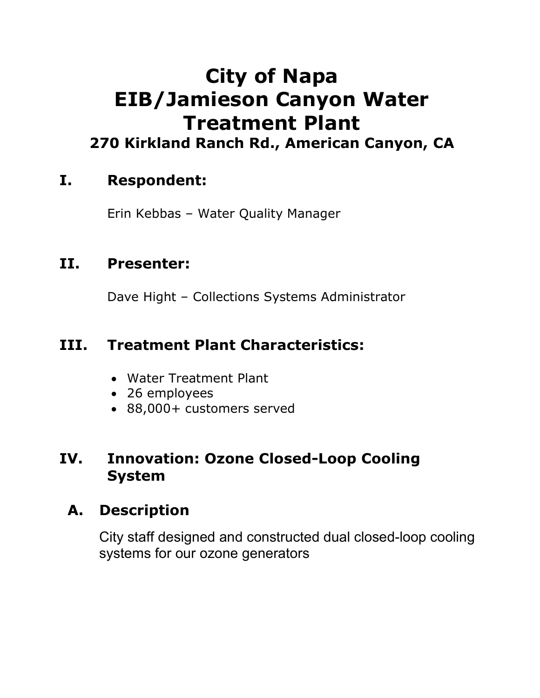# **City of Napa EIB/Jamieson Canyon Water Treatment Plant 270 Kirkland Ranch Rd., American Canyon, CA**

### **I. Respondent:**

Erin Kebbas – Water Quality Manager

#### **II. Presenter:**

Dave Hight – Collections Systems Administrator

## **III. Treatment Plant Characteristics:**

- Water Treatment Plant
- 26 employees
- 88,000+ customers served

#### **IV. Innovation: Ozone Closed-Loop Cooling System**

### **A. Description**

City staff designed and constructed dual closed-loop cooling systems for our ozone generators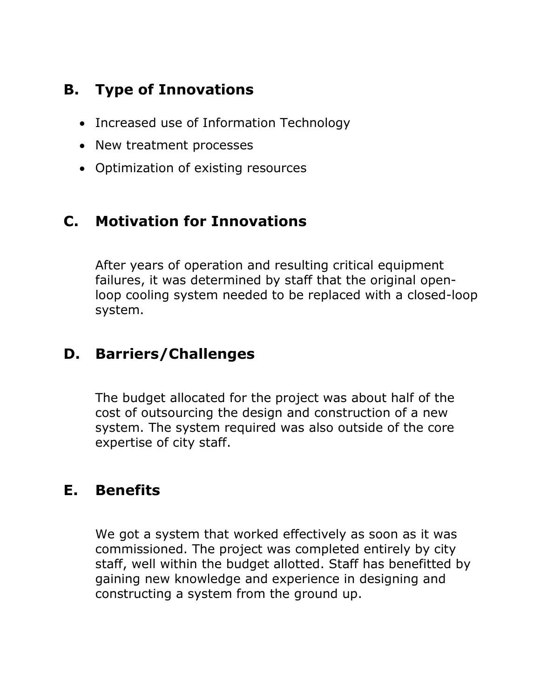# **B. Type of Innovations**

- Increased use of Information Technology
- New treatment processes
- Optimization of existing resources

## **C. Motivation for Innovations**

After years of operation and resulting critical equipment failures, it was determined by staff that the original openloop cooling system needed to be replaced with a closed-loop system.

# **D. Barriers/Challenges**

The budget allocated for the project was about half of the cost of outsourcing the design and construction of a new system. The system required was also outside of the core expertise of city staff.

# **E. Benefits**

We got a system that worked effectively as soon as it was commissioned. The project was completed entirely by city staff, well within the budget allotted. Staff has benefitted by gaining new knowledge and experience in designing and constructing a system from the ground up.